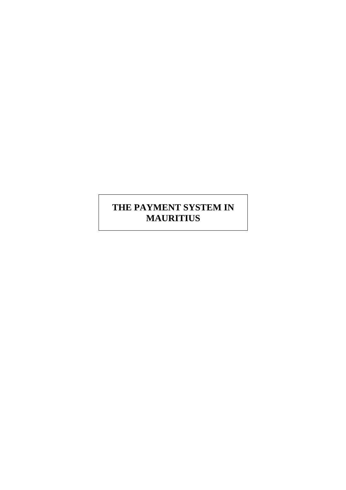# **THE PAYMENT SYSTEM IN MAURITIUS**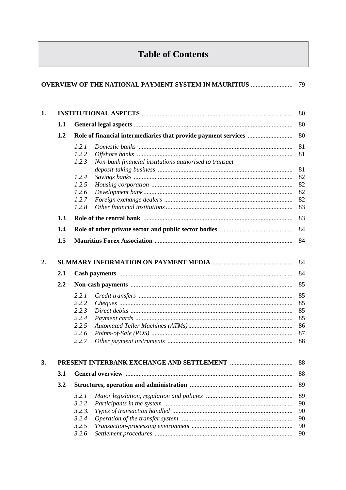# **Table of Contents**

|                  | <b>OVERVIEW OF THE NATIONAL PAYMENT SYSTEM IN MAURITIUS </b> 79                                                                |                                                    |
|------------------|--------------------------------------------------------------------------------------------------------------------------------|----------------------------------------------------|
| 1.               |                                                                                                                                | 80                                                 |
| 1.1              |                                                                                                                                | 80                                                 |
| 1.2              |                                                                                                                                | 80                                                 |
| 1.3              | 1.2.1<br>1.2.2<br>Non-bank financial institutions authorised to transact<br>1.2.3<br>1.2.4<br>1.2.5<br>1.2.6<br>1.2.7<br>1.2.8 | 81<br>81<br>81<br>82<br>82<br>82<br>82<br>83<br>83 |
| 1.4<br>1.5       |                                                                                                                                | 84<br>84                                           |
| 2.<br>2.1<br>2.2 |                                                                                                                                | 84<br>84<br>85                                     |
|                  | 2.2.1<br>2.2.2<br>2.2.3<br>2.2.4<br>2.2.5<br>2.2.6                                                                             | 85<br>85<br>85<br>85<br>86<br>87<br>88             |
| 3.               |                                                                                                                                | 88                                                 |
| 3.1              |                                                                                                                                | 88                                                 |
| 3.2              |                                                                                                                                | 89                                                 |
|                  | 3.2.1<br>3.2.2<br>3.2.3.<br>3.2.4<br>3.2.5<br>3.2.6                                                                            | 89<br>90<br>90<br>90<br>90<br>90                   |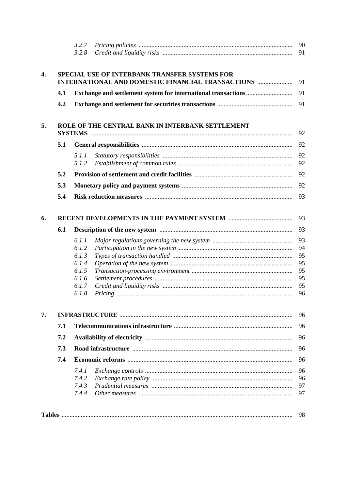|     | 3.2.7<br>3.2.8 |                                                  |
|-----|----------------|--------------------------------------------------|
|     |                | SPECIAL USE OF INTERBANK TRANSFER SYSTEMS FOR    |
|     |                |                                                  |
| 4.1 |                |                                                  |
| 4.2 |                |                                                  |
|     |                | ROLE OF THE CENTRAL BANK IN INTERBANK SETTLEMENT |
| 5.1 |                |                                                  |
|     | 5.1.1          |                                                  |
|     | 5.1.2          |                                                  |
| 5.2 |                |                                                  |
|     |                |                                                  |
| 5.3 |                |                                                  |
| 5.4 |                |                                                  |
|     |                |                                                  |
| 6.1 |                |                                                  |
|     | 6.1.1          |                                                  |
|     | 6.1.2          |                                                  |
|     | 6.1.3          |                                                  |
|     | 6.1.4          |                                                  |
|     | 6.1.5          |                                                  |
|     | 6.1.6          |                                                  |
|     | 6.1.7          |                                                  |
|     | 6.1.8          |                                                  |
|     |                |                                                  |
| 7.1 |                |                                                  |
| 7.2 |                |                                                  |
| 7.3 |                |                                                  |
| 7.4 |                |                                                  |
|     | 7.4.1          |                                                  |
|     | 7.4.2          |                                                  |
|     | 7.4.3          |                                                  |
|     | 7.4.4          |                                                  |
|     |                |                                                  |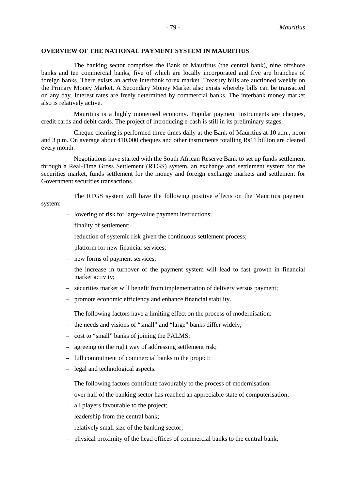### - 79 - *Mauritius*

#### **OVERVIEW OF THE NATIONAL PAYMENT SYSTEM IN MAURITIUS**

The banking sector comprises the Bank of Mauritius (the central bank), nine offshore banks and ten commercial banks, five of which are locally incorporated and five are branches of foreign banks. There exists an active interbank forex market. Treasury bills are auctioned weekly on the Primary Money Market. A Secondary Money Market also exists whereby bills can be transacted on any day. Interest rates are freely determined by commercial banks. The interbank money market also is relatively active.

Mauritius is a highly monetised economy. Popular payment instruments are cheques, credit cards and debit cards. The project of introducing e-cash is still in its preliminary stages.

Cheque clearing is performed three times daily at the Bank of Mauritius at 10 a.m., noon and 3 p.m. On average about 410,000 cheques and other instruments totalling Rs11 billion are cleared every month.

Negotiations have started with the South African Reserve Bank to set up funds settlement through a Real-Time Gross Settlement (RTGS) system, an exchange and settlement system for the securities market, funds settlement for the money and foreign exchange markets and settlement for Government securities transactions.

The RTGS system will have the following positive effects on the Mauritius payment system:

- lowering of risk for large-value payment instructions;
- finality of settlement;
- reduction of systemic risk given the continuous settlement process;
- platform for new financial services;
- new forms of payment services;
- the increase in turnover of the payment system will lead to fast growth in financial market activity;
- securities market will benefit from implementation of delivery versus payment;
- promote economic efficiency and enhance financial stability.

The following factors have a limiting effect on the process of modernisation:

- the needs and visions of "small" and "large" banks differ widely;
- cost to "small" banks of joining the PALMS;
- agreeing on the right way of addressing settlement risk;
- full commitment of commercial banks to the project;
- legal and technological aspects.

The following factors contribute favourably to the process of modernisation:

- over half of the banking sector has reached an appreciable state of computerisation;
- all players favourable to the project;
- leadership from the central bank;
- relatively small size of the banking sector;
- physical proximity of the head offices of commercial banks to the central bank;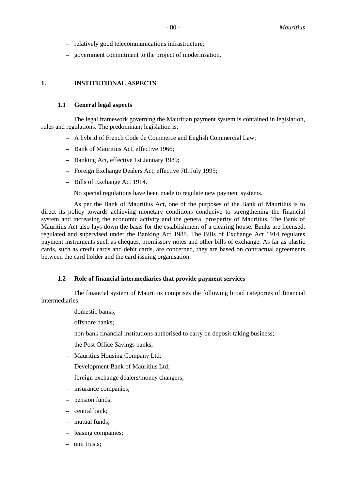- relatively good telecommunications infrastructure;
- government commitment to the project of modernisation.

### **1. INSTITUTIONAL ASPECTS**

### **1.1 General legal aspects**

The legal framework governing the Mauritian payment system is contained in legislation, rules and regulations. The predominant legislation is:

- A hybrid of French Code de Commerce and English Commercial Law;
- Bank of Mauritius Act, effective 1966;
- Banking Act, effective 1st January 1989;
- Foreign Exchange Dealers Act, effective 7th July 1995;
- Bills of Exchange Act 1914.

No special regulations have been made to regulate new payment systems.

As per the Bank of Mauritius Act, one of the purposes of the Bank of Mauritius is to direct its policy towards achieving monetary conditions conducive to strengthening the financial system and increasing the economic activity and the general prosperity of Mauritius. The Bank of Mauritius Act also lays down the basis for the establishment of a clearing house. Banks are licensed, regulated and supervised under the Banking Act 1988. The Bills of Exchange Act 1914 regulates payment instruments such as cheques, promissory notes and other bills of exchange. As far as plastic cards, such as credit cards and debit cards, are concerned, they are based on contractual agreements between the card holder and the card issuing organisation.

#### **1.2 Role of financial intermediaries that provide payment services**

The financial system of Mauritius comprises the following broad categories of financial intermediaries:

- domestic banks;
- offshore banks;
- non-bank financial institutions authorised to carry on deposit-taking business;
- the Post Office Savings banks;
- Mauritius Housing Company Ltd;
- Development Bank of Mauritius Ltd;
- foreign exchange dealers/money changers;
- insurance companies;
- pension funds;
- central bank;
- mutual funds;
- leasing companies;
- unit trusts;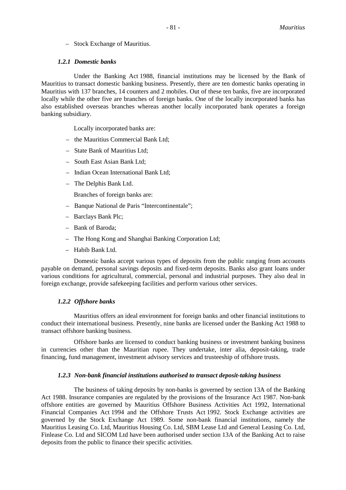– Stock Exchange of Mauritius.

#### *1.2.1 Domestic banks*

Under the Banking Act 1988, financial institutions may be licensed by the Bank of Mauritius to transact domestic banking business. Presently, there are ten domestic banks operating in Mauritius with 137 branches, 14 counters and 2 mobiles. Out of these ten banks, five are incorporated locally while the other five are branches of foreign banks. One of the locally incorporated banks has also established overseas branches whereas another locally incorporated bank operates a foreign banking subsidiary.

Locally incorporated banks are:

- the Mauritius Commercial Bank Ltd;
- State Bank of Mauritius Ltd;
- South East Asian Bank Ltd;
- Indian Ocean International Bank Ltd;
- The Delphis Bank Ltd.
	- Branches of foreign banks are:
- Banque National de Paris "Intercontinentale";
- Barclays Bank Plc;
- Bank of Baroda;
- The Hong Kong and Shanghai Banking Corporation Ltd;
- Habib Bank Ltd.

Domestic banks accept various types of deposits from the public ranging from accounts payable on demand, personal savings deposits and fixed-term deposits. Banks also grant loans under various conditions for agricultural, commercial, personal and industrial purposes. They also deal in foreign exchange, provide safekeeping facilities and perform various other services.

#### *1.2.2 Offshore banks*

Mauritius offers an ideal environment for foreign banks and other financial institutions to conduct their international business. Presently, nine banks are licensed under the Banking Act 1988 to transact offshore banking business.

Offshore banks are licensed to conduct banking business or investment banking business in currencies other than the Mauritian rupee. They undertake, inter alia, deposit-taking, trade financing, fund management, investment advisory services and trusteeship of offshore trusts.

#### *1.2.3 Non-bank financial institutions authorised to transact deposit-taking business*

The business of taking deposits by non-banks is governed by section 13A of the Banking Act 1988. Insurance companies are regulated by the provisions of the Insurance Act 1987. Non-bank offshore entities are governed by Mauritius Offshore Business Activities Act 1992, International Financial Companies Act 1994 and the Offshore Trusts Act 1992. Stock Exchange activities are governed by the Stock Exchange Act 1989. Some non-bank financial institutions, namely the Mauritius Leasing Co. Ltd, Mauritius Housing Co. Ltd, SBM Lease Ltd and General Leasing Co. Ltd, Finlease Co. Ltd and SICOM Ltd have been authorised under section 13A of the Banking Act to raise deposits from the public to finance their specific activities.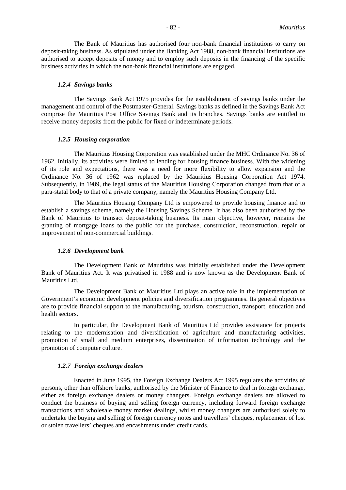The Bank of Mauritius has authorised four non-bank financial institutions to carry on deposit-taking business. As stipulated under the Banking Act 1988, non-bank financial institutions are authorised to accept deposits of money and to employ such deposits in the financing of the specific business activities in which the non-bank financial institutions are engaged.

#### *1.2.4 Savings banks*

The Savings Bank Act 1975 provides for the establishment of savings banks under the management and control of the Postmaster-General. Savings banks as defined in the Savings Bank Act comprise the Mauritius Post Office Savings Bank and its branches. Savings banks are entitled to receive money deposits from the public for fixed or indeterminate periods.

#### *1.2.5 Housing corporation*

The Mauritius Housing Corporation was established under the MHC Ordinance No. 36 of 1962. Initially, its activities were limited to lending for housing finance business. With the widening of its role and expectations, there was a need for more flexibility to allow expansion and the Ordinance No. 36 of 1962 was replaced by the Mauritius Housing Corporation Act 1974. Subsequently, in 1989, the legal status of the Mauritius Housing Corporation changed from that of a para-statal body to that of a private company, namely the Mauritius Housing Company Ltd.

The Mauritius Housing Company Ltd is empowered to provide housing finance and to establish a savings scheme, namely the Housing Savings Scheme. It has also been authorised by the Bank of Mauritius to transact deposit-taking business. Its main objective, however, remains the granting of mortgage loans to the public for the purchase, construction, reconstruction, repair or improvement of non-commercial buildings.

#### *1.2.6 Development bank*

The Development Bank of Mauritius was initially established under the Development Bank of Mauritius Act. It was privatised in 1988 and is now known as the Development Bank of Mauritius Ltd.

The Development Bank of Mauritius Ltd plays an active role in the implementation of Government's economic development policies and diversification programmes. Its general objectives are to provide financial support to the manufacturing, tourism, construction, transport, education and health sectors.

In particular, the Development Bank of Mauritius Ltd provides assistance for projects relating to the modernisation and diversification of agriculture and manufacturing activities, promotion of small and medium enterprises, dissemination of information technology and the promotion of computer culture.

#### *1.2.7 Foreign exchange dealers*

Enacted in June 1995, the Foreign Exchange Dealers Act 1995 regulates the activities of persons, other than offshore banks, authorised by the Minister of Finance to deal in foreign exchange, either as foreign exchange dealers or money changers. Foreign exchange dealers are allowed to conduct the business of buying and selling foreign currency, including forward foreign exchange transactions and wholesale money market dealings, whilst money changers are authorised solely to undertake the buying and selling of foreign currency notes and travellers' cheques, replacement of lost or stolen travellers' cheques and encashments under credit cards.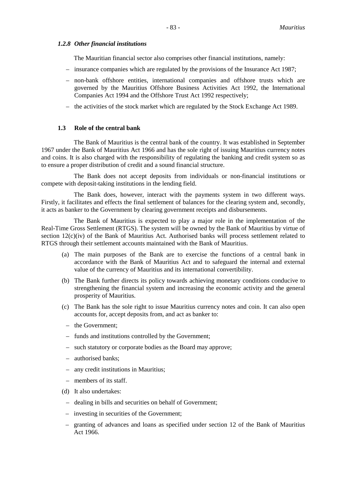#### *1.2.8 Other financial institutions*

The Mauritian financial sector also comprises other financial institutions, namely:

- insurance companies which are regulated by the provisions of the Insurance Act 1987;
- non-bank offshore entities, international companies and offshore trusts which are governed by the Mauritius Offshore Business Activities Act 1992, the International Companies Act 1994 and the Offshore Trust Act 1992 respectively;
- the activities of the stock market which are regulated by the Stock Exchange Act 1989.

#### **1.3 Role of the central bank**

The Bank of Mauritius is the central bank of the country. It was established in September 1967 under the Bank of Mauritius Act 1966 and has the sole right of issuing Mauritius currency notes and coins. It is also charged with the responsibility of regulating the banking and credit system so as to ensure a proper distribution of credit and a sound financial structure.

The Bank does not accept deposits from individuals or non-financial institutions or compete with deposit-taking institutions in the lending field.

The Bank does, however, interact with the payments system in two different ways. Firstly, it facilitates and effects the final settlement of balances for the clearing system and, secondly, it acts as banker to the Government by clearing government receipts and disbursements.

The Bank of Mauritius is expected to play a major role in the implementation of the Real-Time Gross Settlement (RTGS). The system will be owned by the Bank of Mauritius by virtue of section 12(c)(iv) of the Bank of Mauritius Act. Authorised banks will process settlement related to RTGS through their settlement accounts maintained with the Bank of Mauritius.

- (a) The main purposes of the Bank are to exercise the functions of a central bank in accordance with the Bank of Mauritius Act and to safeguard the internal and external value of the currency of Mauritius and its international convertibility.
- (b) The Bank further directs its policy towards achieving monetary conditions conducive to strengthening the financial system and increasing the economic activity and the general prosperity of Mauritius.
- (c) The Bank has the sole right to issue Mauritius currency notes and coin. It can also open accounts for, accept deposits from, and act as banker to:
	- the Government;
	- funds and institutions controlled by the Government;
	- such statutory or corporate bodies as the Board may approve;
	- authorised banks;
	- any credit institutions in Mauritius;
	- members of its staff.
- (d) It also undertakes:
	- dealing in bills and securities on behalf of Government;
	- investing in securities of the Government;
	- granting of advances and loans as specified under section 12 of the Bank of Mauritius Act 1966.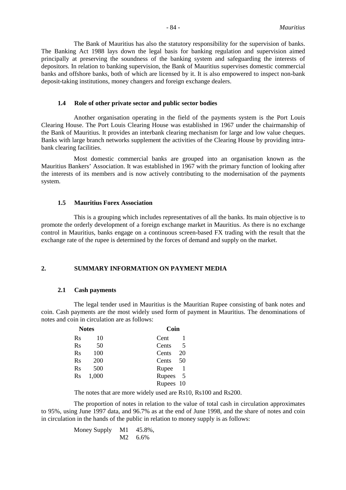The Bank of Mauritius has also the statutory responsibility for the supervision of banks. The Banking Act 1988 lays down the legal basis for banking regulation and supervision aimed principally at preserving the soundness of the banking system and safeguarding the interests of depositors. In relation to banking supervision, the Bank of Mauritius supervises domestic commercial banks and offshore banks, both of which are licensed by it. It is also empowered to inspect non-bank deposit-taking institutions, money changers and foreign exchange dealers.

#### **1.4 Role of other private sector and public sector bodies**

Another organisation operating in the field of the payments system is the Port Louis Clearing House. The Port Louis Clearing House was established in 1967 under the chairmanship of the Bank of Mauritius. It provides an interbank clearing mechanism for large and low value cheques. Banks with large branch networks supplement the activities of the Clearing House by providing intrabank clearing facilities.

Most domestic commercial banks are grouped into an organisation known as the Mauritius Bankers' Association. It was established in 1967 with the primary function of looking after the interests of its members and is now actively contributing to the modernisation of the payments system.

#### **1.5 Mauritius Forex Association**

This is a grouping which includes representatives of all the banks. Its main objective is to promote the orderly development of a foreign exchange market in Mauritius. As there is no exchange control in Mauritius, banks engage on a continuous screen-based FX trading with the result that the exchange rate of the rupee is determined by the forces of demand and supply on the market.

### **2. SUMMARY INFORMATION ON PAYMENT MEDIA**

#### **2.1 Cash payments**

The legal tender used in Mauritius is the Mauritian Rupee consisting of bank notes and coin. Cash payments are the most widely used form of payment in Mauritius. The denominations of notes and coin in circulation are as follows:

|                | <b>Notes</b> | Coin          |
|----------------|--------------|---------------|
| <b>Rs</b>      | 10           | Cent          |
| <b>Rs</b>      | 50           | Cents<br>.5   |
| R <sub>S</sub> | 100          | 20<br>Cents   |
| <b>Rs</b>      | 200          | 50<br>Cents   |
| Rs             | 500          | Rupee         |
| <b>Rs</b>      | 1,000        | Rupees<br>- 5 |
|                |              | Rupees 10     |

The notes that are more widely used are Rs10, Rs100 and Rs200.

The proportion of notes in relation to the value of total cash in circulation approximates to 95%, using June 1997 data, and 96.7% as at the end of June 1998, and the share of notes and coin in circulation in the hands of the public in relation to money supply is as follows:

> Money Supply M1 45.8%, M2 6.6%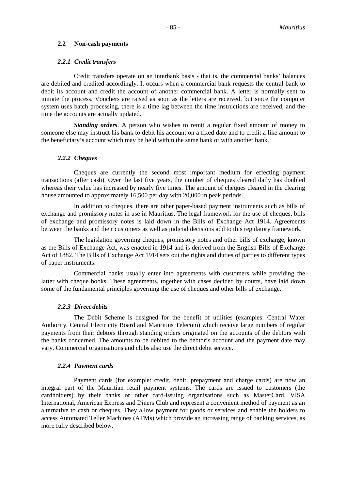#### **2.2 Non-cash payments**

#### *2.2.1 Credit transfers*

Credit transfers operate on an interbank basis - that is, the commercial banks' balances are debited and credited accordingly. It occurs when a commercial bank requests the central bank to debit its account and credit the account of another commercial bank. A letter is normally sent to initiate the process. Vouchers are raised as soon as the letters are received, but since the computer system uses batch processing, there is a time lag between the time instructions are received, and the time the accounts are actually updated.

*Standing orders*. A person who wishes to remit a regular fixed amount of money to someone else may instruct his bank to debit his account on a fixed date and to credit a like amount to the beneficiary's account which may be held within the same bank or with another bank.

#### *2.2.2 Cheques*

Cheques are currently the second most important medium for effecting payment transactions (after cash). Over the last five years, the number of cheques cleared daily has doubled whereas their value has increased by nearly five times. The amount of cheques cleared in the clearing house amounted to approximately 16,500 per day with 20,000 in peak periods.

In addition to cheques, there are other paper-based payment instruments such as bills of exchange and promissory notes in use in Mauritius. The legal framework for the use of cheques, bills of exchange and promissory notes is laid down in the Bills of Exchange Act 1914. Agreements between the banks and their customers as well as judicial decisions add to this regulatory framework.

The legislation governing cheques, promissory notes and other bills of exchange, known as the Bills of Exchange Act, was enacted in 1914 and is derived from the English Bills of Exchange Act of 1882. The Bills of Exchange Act 1914 sets out the rights and duties of parties to different types of paper instruments.

Commercial banks usually enter into agreements with customers while providing the latter with cheque books. These agreements, together with cases decided by courts, have laid down some of the fundamental principles governing the use of cheques and other bills of exchange.

#### *2.2.3 Direct debits*

The Debit Scheme is designed for the benefit of utilities (examples: Central Water Authority, Central Electricity Board and Mauritius Telecom) which receive large numbers of regular payments from their debtors through standing orders originated on the accounts of the debtors with the banks concerned. The amounts to be debited to the debtor's account and the payment date may vary. Commercial organisations and clubs also use the direct debit service.

#### *2.2.4 Payment cards*

Payment cards (for example: credit, debit, prepayment and charge cards) are now an integral part of the Mauritian retail payment systems. The cards are issued to customers (the cardholders) by their banks or other card-issuing organisations such as MasterCard, VISA International, American Express and Diners Club and represent a convenient method of payment as an alternative to cash or cheques. They allow payment for goods or services and enable the holders to access Automated Teller Machines (ATMs) which provide an increasing range of banking services, as more fully described below.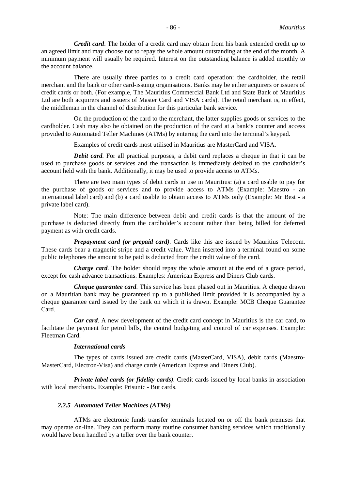*Credit card*. The holder of a credit card may obtain from his bank extended credit up to an agreed limit and may choose not to repay the whole amount outstanding at the end of the month. A minimum payment will usually be required. Interest on the outstanding balance is added monthly to the account balance.

There are usually three parties to a credit card operation: the cardholder, the retail merchant and the bank or other card-issuing organisations. Banks may be either acquirers or issuers of credit cards or both. (For example, The Mauritius Commercial Bank Ltd and State Bank of Mauritius Ltd are both acquirers and issuers of Master Card and VISA cards). The retail merchant is, in effect, the middleman in the channel of distribution for this particular bank service.

On the production of the card to the merchant, the latter supplies goods or services to the cardholder. Cash may also be obtained on the production of the card at a bank's counter and access provided to Automated Teller Machines (ATMs) by entering the card into the terminal's keypad.

Examples of credit cards most utilised in Mauritius are MasterCard and VISA.

*Debit card*. For all practical purposes, a debit card replaces a cheque in that it can be used to purchase goods or services and the transaction is immediately debited to the cardholder's account held with the bank. Additionally, it may be used to provide access to ATMs.

There are two main types of debit cards in use in Mauritius: (a) a card usable to pay for the purchase of goods or services and to provide access to ATMs (Example: Maestro - an international label card) and (b) a card usable to obtain access to ATMs only (Example: Mr Best - a private label card).

Note: The main difference between debit and credit cards is that the amount of the purchase is deducted directly from the cardholder's account rather than being billed for deferred payment as with credit cards.

*Prepayment card (or prepaid card).* Cards like this are issued by Mauritius Telecom. These cards bear a magnetic stripe and a credit value. When inserted into a terminal found on some public telephones the amount to be paid is deducted from the credit value of the card.

*Charge card*. The holder should repay the whole amount at the end of a grace period, except for cash advance transactions. Examples: American Express and Diners Club cards.

*Cheque guarantee card.* This service has been phased out in Mauritius. A cheque drawn on a Mauritian bank may be guaranteed up to a published limit provided it is accompanied by a cheque guarantee card issued by the bank on which it is drawn. Example: MCB Cheque Guarantee Card.

*Car card*. A new development of the credit card concept in Mauritius is the car card, to facilitate the payment for petrol bills, the central budgeting and control of car expenses. Example: Fleetman Card.

#### *International cards*

The types of cards issued are credit cards (MasterCard, VISA), debit cards (Maestro-MasterCard, Electron-Visa) and charge cards (American Express and Diners Club).

*Private label cards (or fidelity cards).* Credit cards issued by local banks in association with local merchants. Example: Prisunic - But cards.

#### *2.2.5 Automated Teller Machines (ATMs)*

ATMs are electronic funds transfer terminals located on or off the bank premises that may operate on-line. They can perform many routine consumer banking services which traditionally would have been handled by a teller over the bank counter.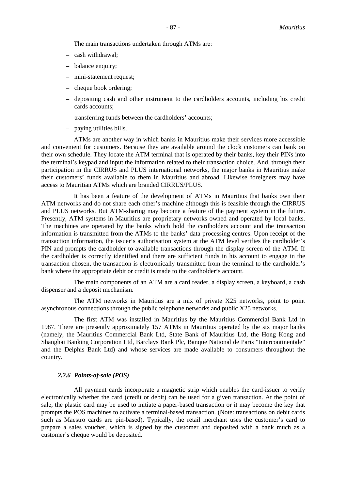The main transactions undertaken through ATMs are:

- cash withdrawal;
- balance enquiry;
- mini-statement request;
- cheque book ordering;
- depositing cash and other instrument to the cardholders accounts, including his credit cards accounts;
- transferring funds between the cardholders' accounts;
- paying utilities bills.

ATMs are another way in which banks in Mauritius make their services more accessible and convenient for customers. Because they are available around the clock customers can bank on their own schedule. They locate the ATM terminal that is operated by their banks, key their PINs into the terminal's keypad and input the information related to their transaction choice. And, through their participation in the CIRRUS and PLUS international networks, the major banks in Mauritius make their customers' funds available to them in Mauritius and abroad. Likewise foreigners may have access to Mauritian ATMs which are branded CIRRUS/PLUS.

It has been a feature of the development of ATMs in Mauritius that banks own their ATM networks and do not share each other's machine although this is feasible through the CIRRUS and PLUS networks. But ATM-sharing may become a feature of the payment system in the future. Presently, ATM systems in Mauritius are proprietary networks owned and operated by local banks. The machines are operated by the banks which hold the cardholders account and the transaction information is transmitted from the ATMs to the banks' data processing centres. Upon receipt of the transaction information, the issuer's authorisation system at the ATM level verifies the cardholder's PIN and prompts the cardholder to available transactions through the display screen of the ATM. If the cardholder is correctly identified and there are sufficient funds in his account to engage in the transaction chosen, the transaction is electronically transmitted from the terminal to the cardholder's bank where the appropriate debit or credit is made to the cardholder's account.

The main components of an ATM are a card reader, a display screen, a keyboard, a cash dispenser and a deposit mechanism.

The ATM networks in Mauritius are a mix of private X25 networks, point to point asynchronous connections through the public telephone networks and public X25 networks.

The first ATM was installed in Mauritius by the Mauritius Commercial Bank Ltd in 1987. There are presently approximately 157 ATMs in Mauritius operated by the six major banks (namely, the Mauritius Commercial Bank Ltd, State Bank of Mauritius Ltd, the Hong Kong and Shanghai Banking Corporation Ltd, Barclays Bank Plc, Banque National de Paris "Intercontinentale" and the Delphis Bank Ltd) and whose services are made available to consumers throughout the country.

#### *2.2.6 Points-of-sale (POS)*

All payment cards incorporate a magnetic strip which enables the card-issuer to verify electronically whether the card (credit or debit) can be used for a given transaction. At the point of sale, the plastic card may be used to initiate a paper-based transaction or it may become the key that prompts the POS machines to activate a terminal-based transaction. (Note: transactions on debit cards such as Maestro cards are pin-based). Typically, the retail merchant uses the customer's card to prepare a sales voucher, which is signed by the customer and deposited with a bank much as a customer's cheque would be deposited.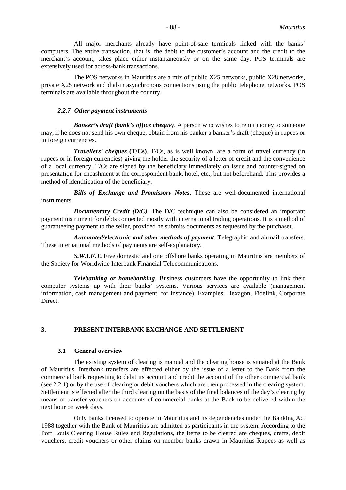All major merchants already have point-of-sale terminals linked with the banks' computers. The entire transaction, that is, the debit to the customer's account and the credit to the merchant's account, takes place either instantaneously or on the same day. POS terminals are extensively used for across-bank transactions.

The POS networks in Mauritius are a mix of public X25 networks, public X28 networks, private X25 network and dial-in asynchronous connections using the public telephone networks. POS terminals are available throughout the country.

#### *2.2.7 Other payment instruments*

*Banker's draft (bank's office cheque)*. A person who wishes to remit money to someone may, if he does not send his own cheque, obtain from his banker a banker's draft (cheque) in rupees or in foreign currencies.

*Travellers' cheques* **(T/Cs)**. T/Cs, as is well known, are a form of travel currency (in rupees or in foreign currencies) giving the holder the security of a letter of credit and the convenience of a local currency. T/Cs are signed by the beneficiary immediately on issue and counter-signed on presentation for encashment at the correspondent bank, hotel, etc., but not beforehand. This provides a method of identification of the beneficiary.

*Bills of Exchange and Promissory Notes*. These are well-documented international instruments.

*Documentary Credit (D/C)*. The D/C technique can also be considered an important payment instrument for debts connected mostly with international trading operations. It is a method of guaranteeing payment to the seller, provided he submits documents as requested by the purchaser.

*Automated/electronic and other methods of payment*. Telegraphic and airmail transfers. These international methods of payments are self-explanatory.

**S.W.I.F.T.** Five domestic and one offshore banks operating in Mauritius are members of the Society for Worldwide Interbank Financial Telecommunications.

*Telebanking or homebanking*. Business customers have the opportunity to link their computer systems up with their banks' systems. Various services are available (management information, cash management and payment, for instance). Examples: Hexagon, Fidelink, Corporate Direct.

### **3. PRESENT INTERBANK EXCHANGE AND SETTLEMENT**

#### **3.1 General overview**

The existing system of clearing is manual and the clearing house is situated at the Bank of Mauritius. Interbank transfers are effected either by the issue of a letter to the Bank from the commercial bank requesting to debit its account and credit the account of the other commercial bank (see 2.2.1) or by the use of clearing or debit vouchers which are then processed in the clearing system. Settlement is effected after the third clearing on the basis of the final balances of the day's clearing by means of transfer vouchers on accounts of commercial banks at the Bank to be delivered within the next hour on week days.

Only banks licensed to operate in Mauritius and its dependencies under the Banking Act 1988 together with the Bank of Mauritius are admitted as participants in the system. According to the Port Louis Clearing House Rules and Regulations, the items to be cleared are cheques, drafts, debit vouchers, credit vouchers or other claims on member banks drawn in Mauritius Rupees as well as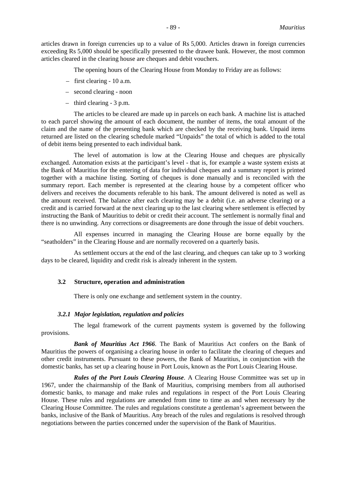articles drawn in foreign currencies up to a value of Rs 5,000. Articles drawn in foreign currencies exceeding Rs 5,000 should be specifically presented to the drawee bank. However, the most common articles cleared in the clearing house are cheques and debit vouchers.

The opening hours of the Clearing House from Monday to Friday are as follows:

- first clearing 10 a.m.
- second clearing noon
- third clearing 3 p.m.

The articles to be cleared are made up in parcels on each bank. A machine list is attached to each parcel showing the amount of each document, the number of items, the total amount of the claim and the name of the presenting bank which are checked by the receiving bank. Unpaid items returned are listed on the clearing schedule marked "Unpaids" the total of which is added to the total of debit items being presented to each individual bank.

The level of automation is low at the Clearing House and cheques are physically exchanged. Automation exists at the participant's level - that is, for example a waste system exists at the Bank of Mauritius for the entering of data for individual cheques and a summary report is printed together with a machine listing. Sorting of cheques is done manually and is reconciled with the summary report. Each member is represented at the clearing house by a competent officer who delivers and receives the documents referable to his bank. The amount delivered is noted as well as the amount received. The balance after each clearing may be a debit (i.e. an adverse clearing) or a credit and is carried forward at the next clearing up to the last clearing where settlement is effected by instructing the Bank of Mauritius to debit or credit their account. The settlement is normally final and there is no unwinding. Any corrections or disagreements are done through the issue of debit vouchers.

All expenses incurred in managing the Clearing House are borne equally by the "seatholders" in the Clearing House and are normally recovered on a quarterly basis.

As settlement occurs at the end of the last clearing, and cheques can take up to 3 working days to be cleared, liquidity and credit risk is already inherent in the system.

#### **3.2 Structure, operation and administration**

There is only one exchange and settlement system in the country.

#### *3.2.1 Major legislation, regulation and policies*

The legal framework of the current payments system is governed by the following provisions.

*Bank of Mauritius Act 1966*. The Bank of Mauritius Act confers on the Bank of Mauritius the powers of organising a clearing house in order to facilitate the clearing of cheques and other credit instruments. Pursuant to these powers, the Bank of Mauritius, in conjunction with the domestic banks, has set up a clearing house in Port Louis, known as the Port Louis Clearing House.

*Rules of the Port Louis Clearing House*. A Clearing House Committee was set up in 1967, under the chairmanship of the Bank of Mauritius, comprising members from all authorised domestic banks, to manage and make rules and regulations in respect of the Port Louis Clearing House. These rules and regulations are amended from time to time as and when necessary by the Clearing House Committee. The rules and regulations constitute a gentleman's agreement between the banks, inclusive of the Bank of Mauritius. Any breach of the rules and regulations is resolved through negotiations between the parties concerned under the supervision of the Bank of Mauritius.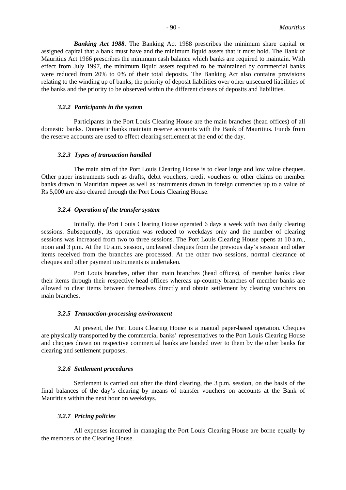*Banking Act 1988*. The Banking Act 1988 prescribes the minimum share capital or assigned capital that a bank must have and the minimum liquid assets that it must hold. The Bank of Mauritius Act 1966 prescribes the minimum cash balance which banks are required to maintain. With effect from July 1997, the minimum liquid assets required to be maintained by commercial banks were reduced from 20% to 0% of their total deposits. The Banking Act also contains provisions relating to the winding up of banks, the priority of deposit liabilities over other unsecured liabilities of the banks and the priority to be observed within the different classes of deposits and liabilities.

#### *3.2.2 Participants in the system*

Participants in the Port Louis Clearing House are the main branches (head offices) of all domestic banks. Domestic banks maintain reserve accounts with the Bank of Mauritius. Funds from the reserve accounts are used to effect clearing settlement at the end of the day.

#### *3.2.3 Types of transaction handled*

The main aim of the Port Louis Clearing House is to clear large and low value cheques. Other paper instruments such as drafts, debit vouchers, credit vouchers or other claims on member banks drawn in Mauritian rupees as well as instruments drawn in foreign currencies up to a value of Rs 5,000 are also cleared through the Port Louis Clearing House.

#### *3.2.4 Operation of the transfer system*

Initially, the Port Louis Clearing House operated 6 days a week with two daily clearing sessions. Subsequently, its operation was reduced to weekdays only and the number of clearing sessions was increased from two to three sessions. The Port Louis Clearing House opens at 10 a.m., noon and 3 p.m. At the 10 a.m. session, uncleared cheques from the previous day's session and other items received from the branches are processed. At the other two sessions, normal clearance of cheques and other payment instruments is undertaken.

Port Louis branches, other than main branches (head offices), of member banks clear their items through their respective head offices whereas up-country branches of member banks are allowed to clear items between themselves directly and obtain settlement by clearing vouchers on main branches.

#### *3.2.5 Transaction-processing environment*

At present, the Port Louis Clearing House is a manual paper-based operation. Cheques are physically transported by the commercial banks' representatives to the Port Louis Clearing House and cheques drawn on respective commercial banks are handed over to them by the other banks for clearing and settlement purposes.

#### *3.2.6 Settlement procedures*

Settlement is carried out after the third clearing, the 3 p.m. session, on the basis of the final balances of the day's clearing by means of transfer vouchers on accounts at the Bank of Mauritius within the next hour on weekdays.

#### *3.2.7 Pricing policies*

All expenses incurred in managing the Port Louis Clearing House are borne equally by the members of the Clearing House.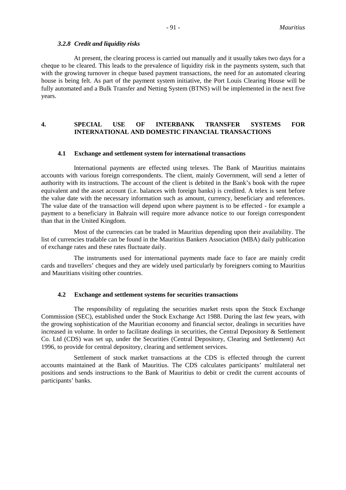#### *3.2.8 Credit and liquidity risks*

At present, the clearing process is carried out manually and it usually takes two days for a cheque to be cleared. This leads to the prevalence of liquidity risk in the payments system, such that with the growing turnover in cheque based payment transactions, the need for an automated clearing house is being felt. As part of the payment system initiative, the Port Louis Clearing House will be fully automated and a Bulk Transfer and Netting System (BTNS) will be implemented in the next five years.

### **4. SPECIAL USE OF INTERBANK TRANSFER SYSTEMS FOR INTERNATIONAL AND DOMESTIC FINANCIAL TRANSACTIONS**

#### **4.1 Exchange and settlement system for international transactions**

International payments are effected using telexes. The Bank of Mauritius maintains accounts with various foreign correspondents. The client, mainly Government, will send a letter of authority with its instructions. The account of the client is debited in the Bank's book with the rupee equivalent and the asset account (i.e. balances with foreign banks) is credited. A telex is sent before the value date with the necessary information such as amount, currency, beneficiary and references. The value date of the transaction will depend upon where payment is to be effected - for example a payment to a beneficiary in Bahrain will require more advance notice to our foreign correspondent than that in the United Kingdom.

Most of the currencies can be traded in Mauritius depending upon their availability. The list of currencies tradable can be found in the Mauritius Bankers Association (MBA) daily publication of exchange rates and these rates fluctuate daily.

The instruments used for international payments made face to face are mainly credit cards and travellers' cheques and they are widely used particularly by foreigners coming to Mauritius and Mauritians visiting other countries.

#### **4.2 Exchange and settlement systems for securities transactions**

The responsibility of regulating the securities market rests upon the Stock Exchange Commission (SEC), established under the Stock Exchange Act 1988. During the last few years, with the growing sophistication of the Mauritian economy and financial sector, dealings in securities have increased in volume. In order to facilitate dealings in securities, the Central Depository & Settlement Co. Ltd (CDS) was set up, under the Securities (Central Depository, Clearing and Settlement) Act 1996, to provide for central depository, clearing and settlement services.

Settlement of stock market transactions at the CDS is effected through the current accounts maintained at the Bank of Mauritius. The CDS calculates participants' multilateral net positions and sends instructions to the Bank of Mauritius to debit or credit the current accounts of participants' banks.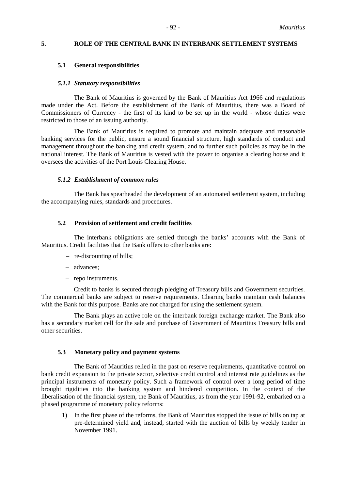#### **5. ROLE OF THE CENTRAL BANK IN INTERBANK SETTLEMENT SYSTEMS**

#### **5.1 General responsibilities**

#### *5.1.1 Statutory responsibilities*

The Bank of Mauritius is governed by the Bank of Mauritius Act 1966 and regulations made under the Act. Before the establishment of the Bank of Mauritius, there was a Board of Commissioners of Currency - the first of its kind to be set up in the world - whose duties were restricted to those of an issuing authority.

The Bank of Mauritius is required to promote and maintain adequate and reasonable banking services for the public, ensure a sound financial structure, high standards of conduct and management throughout the banking and credit system, and to further such policies as may be in the national interest. The Bank of Mauritius is vested with the power to organise a clearing house and it oversees the activities of the Port Louis Clearing House.

#### *5.1.2 Establishment of common rules*

The Bank has spearheaded the development of an automated settlement system, including the accompanying rules, standards and procedures.

#### **5.2 Provision of settlement and credit facilities**

The interbank obligations are settled through the banks' accounts with the Bank of Mauritius. Credit facilities that the Bank offers to other banks are:

- re-discounting of bills;
- advances;
- repo instruments.

Credit to banks is secured through pledging of Treasury bills and Government securities. The commercial banks are subject to reserve requirements. Clearing banks maintain cash balances with the Bank for this purpose. Banks are not charged for using the settlement system.

The Bank plays an active role on the interbank foreign exchange market. The Bank also has a secondary market cell for the sale and purchase of Government of Mauritius Treasury bills and other securities.

#### **5.3 Monetary policy and payment systems**

The Bank of Mauritius relied in the past on reserve requirements, quantitative control on bank credit expansion to the private sector, selective credit control and interest rate guidelines as the principal instruments of monetary policy. Such a framework of control over a long period of time brought rigidities into the banking system and hindered competition. In the context of the liberalisation of the financial system, the Bank of Mauritius, as from the year 1991-92, embarked on a phased programme of monetary policy reforms:

1) In the first phase of the reforms, the Bank of Mauritius stopped the issue of bills on tap at pre-determined yield and, instead, started with the auction of bills by weekly tender in November 1991.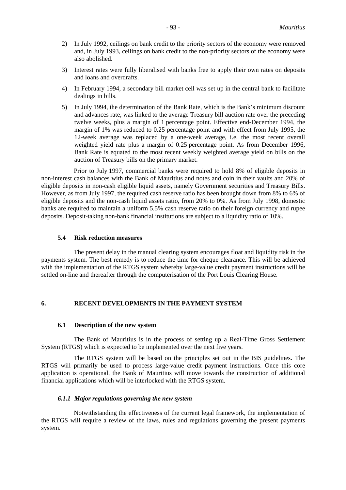- 2) In July 1992, ceilings on bank credit to the priority sectors of the economy were removed and, in July 1993, ceilings on bank credit to the non-priority sectors of the economy were also abolished.
- 3) Interest rates were fully liberalised with banks free to apply their own rates on deposits and loans and overdrafts.
- 4) In February 1994, a secondary bill market cell was set up in the central bank to facilitate dealings in bills.
- 5) In July 1994, the determination of the Bank Rate, which is the Bank's minimum discount and advances rate, was linked to the average Treasury bill auction rate over the preceding twelve weeks, plus a margin of 1 percentage point. Effective end-December 1994, the margin of 1% was reduced to 0.25 percentage point and with effect from July 1995, the 12-week average was replaced by a one-week average, i.e. the most recent overall weighted yield rate plus a margin of 0.25 percentage point. As from December 1996, Bank Rate is equated to the most recent weekly weighted average yield on bills on the auction of Treasury bills on the primary market.

Prior to July 1997, commercial banks were required to hold 8% of eligible deposits in non-interest cash balances with the Bank of Mauritius and notes and coin in their vaults and 20% of eligible deposits in non-cash eligible liquid assets, namely Government securities and Treasury Bills. However, as from July 1997, the required cash reserve ratio has been brought down from 8% to 6% of eligible deposits and the non-cash liquid assets ratio, from 20% to 0%. As from July 1998, domestic banks are required to maintain a uniform 5.5% cash reserve ratio on their foreign currency and rupee deposits. Deposit-taking non-bank financial institutions are subject to a liquidity ratio of 10%.

#### **5.4 Risk reduction measures**

The present delay in the manual clearing system encourages float and liquidity risk in the payments system. The best remedy is to reduce the time for cheque clearance. This will be achieved with the implementation of the RTGS system whereby large-value credit payment instructions will be settled on-line and thereafter through the computerisation of the Port Louis Clearing House.

#### **6. RECENT DEVELOPMENTS IN THE PAYMENT SYSTEM**

#### **6.1 Description of the new system**

The Bank of Mauritius is in the process of setting up a Real-Time Gross Settlement System (RTGS) which is expected to be implemented over the next five years.

The RTGS system will be based on the principles set out in the BIS guidelines. The RTGS will primarily be used to process large-value credit payment instructions. Once this core application is operational, the Bank of Mauritius will move towards the construction of additional financial applications which will be interlocked with the RTGS system.

#### *6.1.1 Major regulations governing the new system*

Notwithstanding the effectiveness of the current legal framework, the implementation of the RTGS will require a review of the laws, rules and regulations governing the present payments system.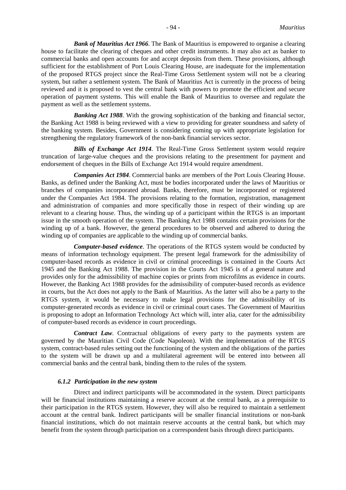*Bank of Mauritius Act 1966*. The Bank of Mauritius is empowered to organise a clearing house to facilitate the clearing of cheques and other credit instruments. It may also act as banker to commercial banks and open accounts for and accept deposits from them. These provisions, although sufficient for the establishment of Port Louis Clearing House, are inadequate for the implementation of the proposed RTGS project since the Real-Time Gross Settlement system will not be a clearing system, but rather a settlement system. The Bank of Mauritius Act is currently in the process of being reviewed and it is proposed to vest the central bank with powers to promote the efficient and secure operation of payment systems. This will enable the Bank of Mauritius to oversee and regulate the payment as well as the settlement systems.

*Banking Act 1988*. With the growing sophistication of the banking and financial sector, the Banking Act 1988 is being reviewed with a view to providing for greater soundness and safety of the banking system. Besides, Government is considering coming up with appropriate legislation for strengthening the regulatory framework of the non-bank financial services sector.

*Bills of Exchange Act 1914*. The Real-Time Gross Settlement system would require truncation of large-value cheques and the provisions relating to the presentment for payment and endorsement of cheques in the Bills of Exchange Act 1914 would require amendment.

*Companies Act 1984*. Commercial banks are members of the Port Louis Clearing House. Banks, as defined under the Banking Act, must be bodies incorporated under the laws of Mauritius or branches of companies incorporated abroad. Banks, therefore, must be incorporated or registered under the Companies Act 1984. The provisions relating to the formation, registration, management and administration of companies and more specifically those in respect of their winding up are relevant to a clearing house. Thus, the winding up of a participant within the RTGS is an important issue in the smooth operation of the system. The Banking Act 1988 contains certain provisions for the winding up of a bank. However, the general procedures to be observed and adhered to during the winding up of companies are applicable to the winding up of commercial banks.

*Computer-based evidence*. The operations of the RTGS system would be conducted by means of information technology equipment. The present legal framework for the admissibility of computer-based records as evidence in civil or criminal proceedings is contained in the Courts Act 1945 and the Banking Act 1988. The provision in the Courts Act 1945 is of a general nature and provides only for the admissibility of machine copies or prints from microfilms as evidence in courts. However, the Banking Act 1988 provides for the admissibility of computer-based records as evidence in courts, but the Act does not apply to the Bank of Mauritius. As the latter will also be a party to the RTGS system, it would be necessary to make legal provisions for the admissibility of its computer-generated records as evidence in civil or criminal court cases. The Government of Mauritius is proposing to adopt an Information Technology Act which will, inter alia, cater for the admissibility of computer-based records as evidence in court proceedings.

*Contract Law*. Contractual obligations of every party to the payments system are governed by the Mauritian Civil Code (Code Napoleon). With the implementation of the RTGS system, contract-based rules setting out the functioning of the system and the obligations of the parties to the system will be drawn up and a multilateral agreement will be entered into between all commercial banks and the central bank, binding them to the rules of the system.

#### *6.1.2 Participation in the new system*

Direct and indirect participants will be accommodated in the system. Direct participants will be financial institutions maintaining a reserve account at the central bank, as a prerequisite to their participation in the RTGS system. However, they will also be required to maintain a settlement account at the central bank. Indirect participants will be smaller financial institutions or non-bank financial institutions, which do not maintain reserve accounts at the central bank, but which may benefit from the system through participation on a correspondent basis through direct participants.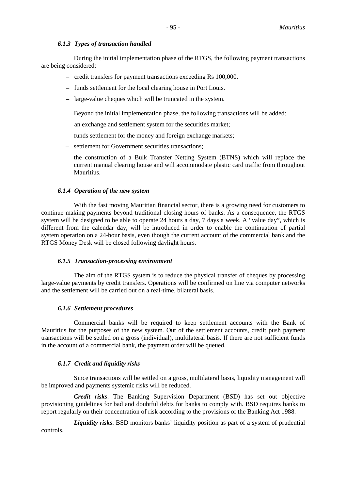### *6.1.3 Types of transaction handled*

During the initial implementation phase of the RTGS, the following payment transactions are being considered:

- credit transfers for payment transactions exceeding Rs 100,000.
- funds settlement for the local clearing house in Port Louis.
- large-value cheques which will be truncated in the system.

Beyond the initial implementation phase, the following transactions will be added:

- an exchange and settlement system for the securities market;
- funds settlement for the money and foreign exchange markets;
- settlement for Government securities transactions;
- the construction of a Bulk Transfer Netting System (BTNS) which will replace the current manual clearing house and will accommodate plastic card traffic from throughout Mauritius.

#### *6.1.4 Operation of the new system*

With the fast moving Mauritian financial sector, there is a growing need for customers to continue making payments beyond traditional closing hours of banks. As a consequence, the RTGS system will be designed to be able to operate 24 hours a day, 7 days a week. A "value day", which is different from the calendar day, will be introduced in order to enable the continuation of partial system operation on a 24-hour basis, even though the current account of the commercial bank and the RTGS Money Desk will be closed following daylight hours.

#### *6.1.5 Transaction-processing environment*

The aim of the RTGS system is to reduce the physical transfer of cheques by processing large-value payments by credit transfers. Operations will be confirmed on line via computer networks and the settlement will be carried out on a real-time, bilateral basis.

#### *6.1.6 Settlement procedures*

Commercial banks will be required to keep settlement accounts with the Bank of Mauritius for the purposes of the new system. Out of the settlement accounts, credit push payment transactions will be settled on a gross (individual), multilateral basis. If there are not sufficient funds in the account of a commercial bank, the payment order will be queued.

### *6.1.7 Credit and liquidity risks*

Since transactions will be settled on a gross, multilateral basis, liquidity management will be improved and payments systemic risks will be reduced.

*Credit risks*. The Banking Supervision Department (BSD) has set out objective provisioning guidelines for bad and doubtful debts for banks to comply with. BSD requires banks to report regularly on their concentration of risk according to the provisions of the Banking Act 1988.

*Liquidity risks*. BSD monitors banks' liquidity position as part of a system of prudential controls.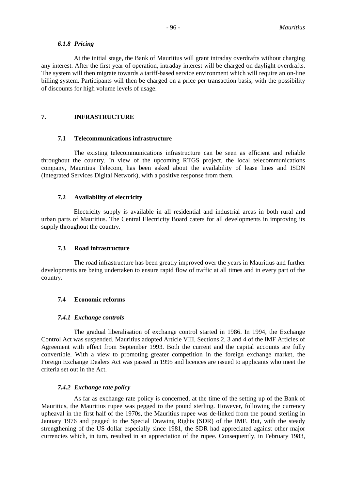#### *6.1.8 Pricing*

At the initial stage, the Bank of Mauritius will grant intraday overdrafts without charging any interest. After the first year of operation, intraday interest will be charged on daylight overdrafts. The system will then migrate towards a tariff-based service environment which will require an on-line billing system. Participants will then be charged on a price per transaction basis, with the possibility of discounts for high volume levels of usage.

#### **7. INFRASTRUCTURE**

### **7.1 Telecommunications infrastructure**

The existing telecommunications infrastructure can be seen as efficient and reliable throughout the country. In view of the upcoming RTGS project, the local telecommunications company, Mauritius Telecom, has been asked about the availability of lease lines and ISDN (Integrated Services Digital Network), with a positive response from them.

### **7.2 Availability of electricity**

Electricity supply is available in all residential and industrial areas in both rural and urban parts of Mauritius. The Central Electricity Board caters for all developments in improving its supply throughout the country.

### **7.3 Road infrastructure**

The road infrastructure has been greatly improved over the years in Mauritius and further developments are being undertaken to ensure rapid flow of traffic at all times and in every part of the country.

### **7.4 Economic reforms**

#### *7.4.1 Exchange controls*

The gradual liberalisation of exchange control started in 1986. In 1994, the Exchange Control Act was suspended. Mauritius adopted Article VIII, Sections 2, 3 and 4 of the IMF Articles of Agreement with effect from September 1993. Both the current and the capital accounts are fully convertible. With a view to promoting greater competition in the foreign exchange market, the Foreign Exchange Dealers Act was passed in 1995 and licences are issued to applicants who meet the criteria set out in the Act.

#### *7.4.2 Exchange rate policy*

As far as exchange rate policy is concerned, at the time of the setting up of the Bank of Mauritius, the Mauritius rupee was pegged to the pound sterling. However, following the currency upheaval in the first half of the 1970s, the Mauritius rupee was de-linked from the pound sterling in January 1976 and pegged to the Special Drawing Rights (SDR) of the IMF. But, with the steady strengthening of the US dollar especially since 1981, the SDR had appreciated against other major currencies which, in turn, resulted in an appreciation of the rupee. Consequently, in February 1983,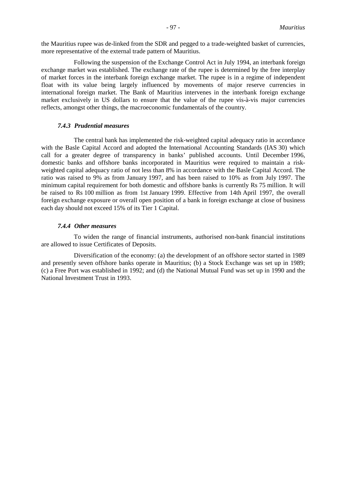the Mauritius rupee was de-linked from the SDR and pegged to a trade-weighted basket of currencies, more representative of the external trade pattern of Mauritius.

Following the suspension of the Exchange Control Act in July 1994, an interbank foreign exchange market was established. The exchange rate of the rupee is determined by the free interplay of market forces in the interbank foreign exchange market. The rupee is in a regime of independent float with its value being largely influenced by movements of major reserve currencies in international foreign market. The Bank of Mauritius intervenes in the interbank foreign exchange market exclusively in US dollars to ensure that the value of the rupee vis-à-vis major currencies reflects, amongst other things, the macroeconomic fundamentals of the country.

#### *7.4.3 Prudential measures*

The central bank has implemented the risk-weighted capital adequacy ratio in accordance with the Basle Capital Accord and adopted the International Accounting Standards (IAS 30) which call for a greater degree of transparency in banks' published accounts. Until December 1996, domestic banks and offshore banks incorporated in Mauritius were required to maintain a riskweighted capital adequacy ratio of not less than 8% in accordance with the Basle Capital Accord. The ratio was raised to 9% as from January 1997, and has been raised to 10% as from July 1997. The minimum capital requirement for both domestic and offshore banks is currently Rs 75 million. It will be raised to Rs 100 million as from 1st January 1999. Effective from 14th April 1997, the overall foreign exchange exposure or overall open position of a bank in foreign exchange at close of business each day should not exceed 15% of its Tier 1 Capital.

#### *7.4.4 Other measures*

To widen the range of financial instruments, authorised non-bank financial institutions are allowed to issue Certificates of Deposits.

Diversification of the economy: (a) the development of an offshore sector started in 1989 and presently seven offshore banks operate in Mauritius; (b) a Stock Exchange was set up in 1989; (c) a Free Port was established in 1992; and (d) the National Mutual Fund was set up in 1990 and the National Investment Trust in 1993.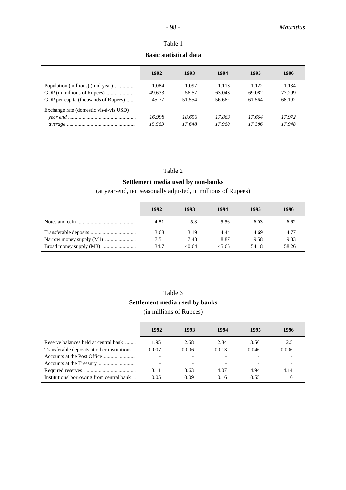### Table 1

### **Basic statistical data**

|                                                                          | 1992                     | 1993                     | 1994                      | 1995                      | 1996                      |
|--------------------------------------------------------------------------|--------------------------|--------------------------|---------------------------|---------------------------|---------------------------|
| Population (millions) (mid-year)<br>GDP per capita (thousands of Rupees) | 1.084<br>49.633<br>45.77 | 1.097<br>56.57<br>51.554 | 1.113<br>63.043<br>56.662 | 1.122<br>69.082<br>61.564 | 1.134<br>77.299<br>68.192 |
| Exchange rate (domestic vis-à-vis USD)                                   | 16.998<br>15.563         | 18.656<br>17.648         | 17.863<br>17.960          | 17.664<br>17.386          | 17.972<br>17.948          |

### Table 2

### **Settlement media used by non-banks**

(at year-end, not seasonally adjusted, in millions of Rupees)

| 1992 | 1993  | 1994  | 1995  | 1996  |
|------|-------|-------|-------|-------|
| 4.81 | 5.3   | 5.56  | 6.03  | 6.62  |
| 3.68 | 3.19  | 4.44  | 4.69  | 4.77  |
| 7.51 | 7.43  | 8.87  | 9.58  | 9.83  |
| 34.7 | 40.64 | 45.65 | 54.18 | 58.26 |

## Table 3 **Settlement media used by banks** (in millions of Rupees)

|                                             | 1992  | 1993  | 1994  | 1995  | 1996  |
|---------------------------------------------|-------|-------|-------|-------|-------|
| Reserve balances held at central bank       | 1.95  | 2.68  | 2.84  | 3.56  | 2.5   |
| Transferable deposits at other institutions | 0.007 | 0.006 | 0.013 | 0.046 | 0.006 |
|                                             |       |       |       |       |       |
|                                             |       |       |       |       |       |
|                                             | 3.11  | 3.63  | 4.07  | 4.94  | 4.14  |
| Institutions' borrowing from central bank   | 0.05  | 0.09  | 0.16  | 0.55  |       |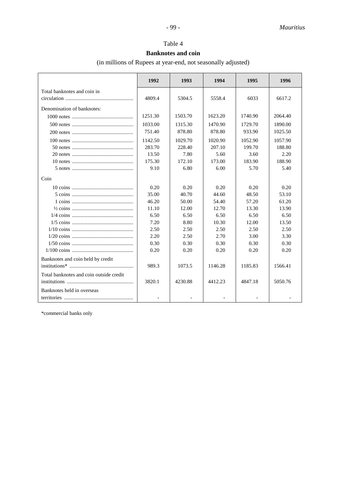### Table 4

### **Banknotes and coin**

(in millions of Rupees at year-end, not seasonally adjusted)

|                                         | 1992    | 1993    | 1994    | 1995    | 1996    |
|-----------------------------------------|---------|---------|---------|---------|---------|
| Total banknotes and coin in             |         |         |         |         |         |
|                                         | 4809.4  | 5304.5  | 5558.4  | 6033    | 6617.2  |
| Denomination of banknotes:              |         |         |         |         |         |
|                                         | 1251.30 | 1503.70 | 1623.20 | 1740.90 | 2064.40 |
|                                         | 1033.00 | 1315.30 | 1470.90 | 1729.70 | 1890.00 |
|                                         | 751.40  | 878.80  | 878.80  | 933.90  | 1025.50 |
|                                         | 1142.50 | 1029.70 | 1020.90 | 1052.90 | 1057.90 |
|                                         | 283.70  | 228.40  | 207.10  | 199.70  | 188.80  |
|                                         | 13.50   | 7.80    | 5.60    | 3.60    | 2.20    |
|                                         | 175.30  | 172.10  | 173.00  | 183.90  | 188.90  |
|                                         | 9.10    | 6.80    | 6.00    | 5.70    | 5.40    |
| Coin                                    |         |         |         |         |         |
|                                         | 0.20    | 0.20    | 0.20    | 0.20    | 0.20    |
|                                         | 35.00   | 40.70   | 44.60   | 48.50   | 53.10   |
|                                         | 46.20   | 50.00   | 54.40   | 57.20   | 61.20   |
|                                         | 11.10   | 12.00   | 12.70   | 13.30   | 13.90   |
|                                         | 6.50    | 6.50    | 6.50    | 6.50    | 6.50    |
|                                         | 7.20    | 8.80    | 10.30   | 12.00   | 13.50   |
|                                         | 2.50    | 2.50    | 2.50    | 2.50    | 2.50    |
|                                         | 2.20    | 2.50    | 2.70    | 3.00    | 3.30    |
|                                         | 0.30    | 0.30    | 0.30    | 0.30    | 0.30    |
|                                         | 0.20    | 0.20    | 0.20    | 0.20    | 0.20    |
| Banknotes and coin held by credit       |         |         |         |         |         |
|                                         | 989.3   | 1073.5  | 1146.28 | 1185.83 | 1566.41 |
| Total banknotes and coin outside credit |         |         |         |         |         |
|                                         | 3820.1  | 4230.88 | 4412.23 | 4847.18 | 5050.76 |
| Banknotes held in overseas              |         |         |         |         |         |
|                                         |         |         |         |         |         |

\*commercial banks only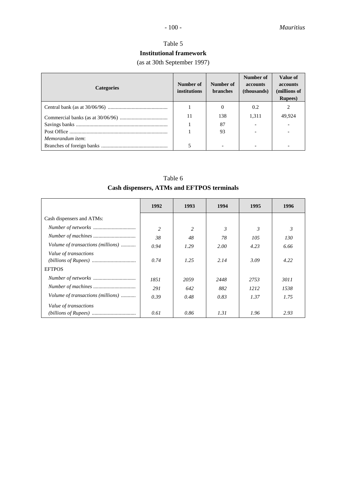### Table 5 **Institutional framework**

(as at 30th September 1997)

| <b>Categories</b> | Number of<br><i>institutions</i> | Number of<br><b>branches</b> | Number of<br><b>accounts</b><br>(thousands) | Value of<br><b>accounts</b><br>(millions of<br><b>Rupees</b> ) |
|-------------------|----------------------------------|------------------------------|---------------------------------------------|----------------------------------------------------------------|
|                   |                                  |                              | 0.2                                         |                                                                |
|                   | 11                               | 138                          | 1,311                                       | 49,924                                                         |
|                   |                                  | 87                           |                                             |                                                                |
|                   |                                  | 93                           |                                             |                                                                |
| Memorandum item:  |                                  |                              |                                             |                                                                |
|                   |                                  |                              |                                             |                                                                |

Table 6 **Cash dispensers, ATMs and EFTPOS terminals**

|                                   | 1992           | 1993 | 1994           | 1995           | 1996 |
|-----------------------------------|----------------|------|----------------|----------------|------|
| Cash dispensers and ATMs:         |                |      |                |                |      |
|                                   | $\overline{c}$ | 2    | $\mathfrak{Z}$ | $\mathfrak{Z}$ | 3    |
|                                   | 38             | 48   | 78             | 105            | 130  |
| Volume of transactions (millions) | 0.94           | 1.29 | 2.00           | 4.23           | 6.66 |
| Value of transactions             | 0.74           | 1.25 | 2.14           | 3.09           | 4.22 |
| <b>EFTPOS</b>                     |                |      |                |                |      |
|                                   | 1851           | 2059 | 2448           | 2753           | 3011 |
|                                   | 291            | 642  | 882            | 1212           | 1538 |
| Volume of transactions (millions) | 0.39           | 0.48 | 0.83           | 1.37           | 1.75 |
| Value of transactions             |                |      |                |                |      |
|                                   | 0.61           | 0.86 | 1.31           | 1.96           | 2.93 |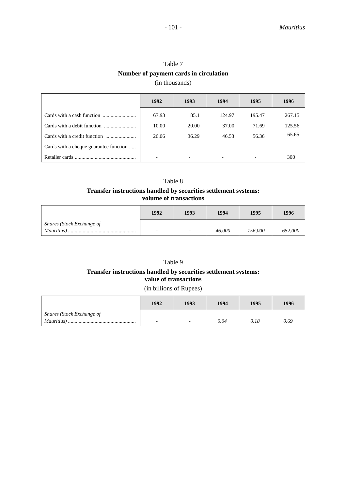| Table 7                                |
|----------------------------------------|
| Number of payment cards in circulation |
| (in thousands)                         |

|                                        | 1992                     | 1993  | 1994   | 1995                     | 1996   |
|----------------------------------------|--------------------------|-------|--------|--------------------------|--------|
|                                        | 67.93                    | 85.1  | 124.97 | 195.47                   | 267.15 |
|                                        | 10.00                    | 20.00 | 37.00  | 71.69                    | 125.56 |
|                                        | 26.06                    | 36.29 | 46.53  | 56.36                    | 65.65  |
| Cards with a cheque guarantee function | $\overline{\phantom{0}}$ |       |        | -                        |        |
|                                        |                          |       |        | $\overline{\phantom{0}}$ | 300    |

### Table 8 **Transfer instructions handled by securities settlement systems: volume of transactions**

|                           | 1992                     | 1993 | 1994   | 1995    | 1996    |
|---------------------------|--------------------------|------|--------|---------|---------|
| Shares (Stock Exchange of |                          |      |        |         |         |
|                           | $\overline{\phantom{0}}$ |      | 46,000 | 156.000 | 652,000 |

### Table 9

### **Transfer instructions handled by securities settlement systems: value of transactions**

#### (in billions of Rupees)

|                           | 1992                     | 1993 | 1994 | 1995 | 1996 |
|---------------------------|--------------------------|------|------|------|------|
| Shares (Stock Exchange of |                          |      |      |      |      |
| <i>Mauritius</i> )        | $\overline{\phantom{0}}$ | -    | 0.04 | 0.18 | 0.69 |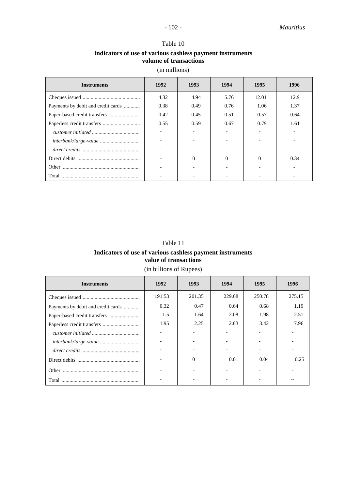### Table 10 **Indicators of use of various cashless payment instruments volume of transactions**

(in millions)

| <b>Instruments</b>                 | 1992 | 1993 | 1994     | 1995  | 1996 |
|------------------------------------|------|------|----------|-------|------|
|                                    | 4.32 | 4.94 | 5.76     | 12.01 | 12.9 |
| Payments by debit and credit cards | 0.38 | 0.49 | 0.76     | 1.06  | 1.37 |
|                                    | 0.42 | 0.45 | 0.51     | 0.57  | 0.64 |
|                                    | 0.55 | 0.59 | 0.67     | 0.79  | 1.61 |
|                                    |      |      |          |       |      |
|                                    |      |      |          |       |      |
|                                    |      |      |          |       |      |
|                                    |      | 0    | $\Omega$ |       | 0.34 |
|                                    |      |      |          |       |      |
|                                    |      |      |          |       |      |

### Table 11 **Indicators of use of various cashless payment instruments value of transactions**

### (in billions of Rupees)

| <b>Instruments</b>                 | 1992   | 1993   | 1994   | 1995   | 1996   |
|------------------------------------|--------|--------|--------|--------|--------|
|                                    | 191.53 | 201.35 | 229.68 | 250.78 | 275.15 |
| Payments by debit and credit cards | 0.32   | 0.47   | 0.64   | 0.68   | 1.19   |
|                                    | 1.5    | 1.64   | 2.08   | 1.98   | 2.51   |
|                                    | 1.95   | 2.25   | 2.63   | 3.42   | 7.96   |
|                                    |        |        |        |        |        |
|                                    |        |        |        |        |        |
|                                    |        |        |        |        |        |
|                                    |        | 0      | 0.01   | 0.04   | 0.25   |
| Other                              |        |        |        |        |        |
| Total                              |        |        |        |        |        |